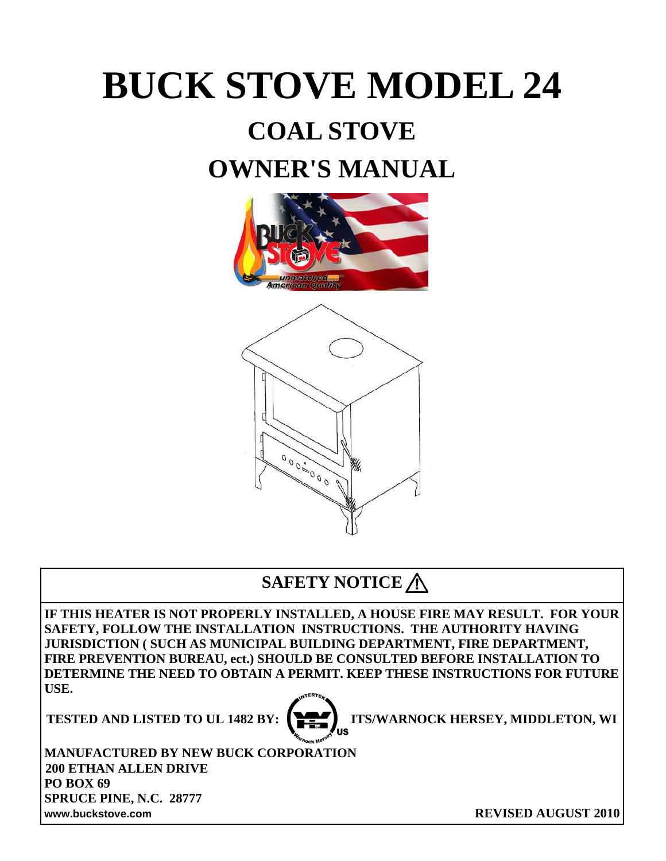# **BUCK STOVE MODEL 24**

# **COAL STOVE**

## **OWNER'S MANUAL**



### **SAFETY NOTICE**

**IF THIS HEATER IS NOT PROPERLY INSTALLED, A HOUSE FIRE MAY RESULT. FOR YOUR SAFETY, FOLLOW THE INSTALLATION INSTRUCTIONS. THE AUTHORITY HAVING JURISDICTION ( SUCH AS MUNICIPAL BUILDING DEPARTMENT, FIRE DEPARTMENT, FIRE PREVENTION BUREAU, ect.) SHOULD BE CONSULTED BEFORE INSTALLATION TO DETERMINE THE NEED TO OBTAIN A PERMIT. KEEP THESE INSTRUCTIONS FOR FUTURE USE.** 



**TESTED AND LISTED TO UL 1482 BY:**  $\left[\begin{array}{cc} \blacksquare & \blacksquare & \blacksquare \end{array}\right]$  **ITS/WARNOCK HERSEY, MIDDLETON, WI** 

**MANUFACTURED BY NEW BUCK CORPORATION 200 ETHAN ALLEN DRIVE PO BOX 69 SPRUCE PINE, N.C. 28777 www.buckstove.com REVISED AUGUST 2010**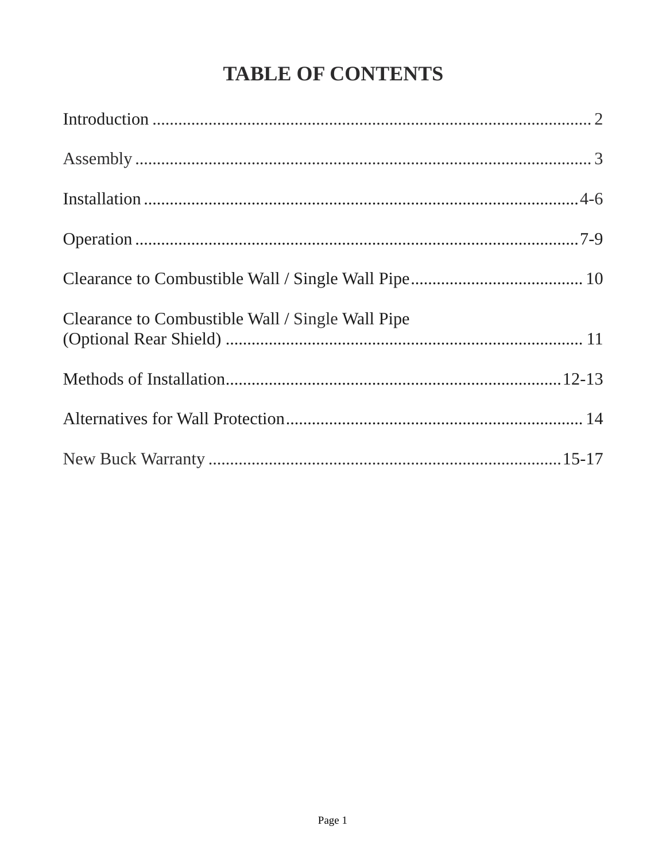### **TABLE OF CONTENTS**

| Clearance to Combustible Wall / Single Wall Pipe |  |
|--------------------------------------------------|--|
|                                                  |  |
|                                                  |  |
|                                                  |  |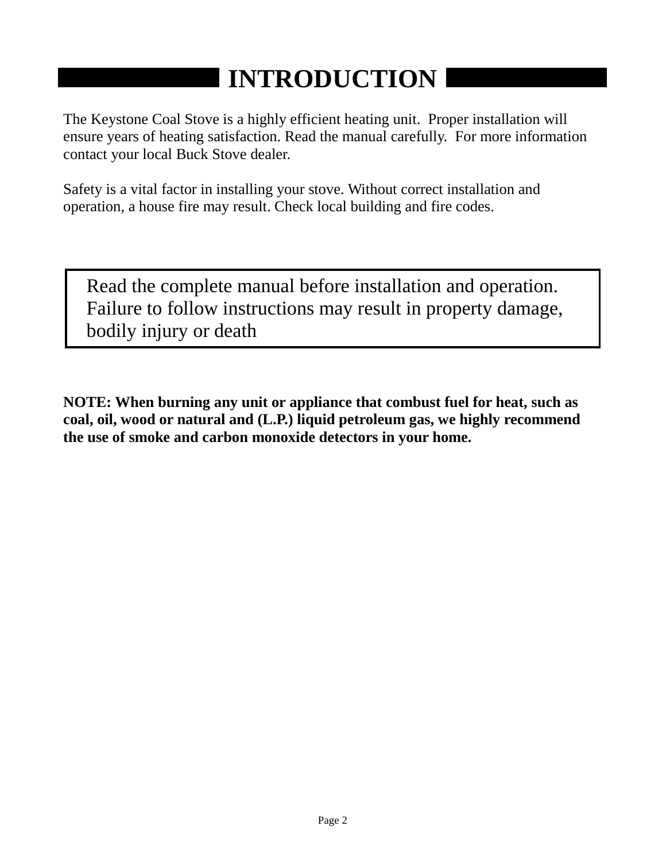# **INTRODUCTION**

The Keystone Coal Stove is a highly efficient heating unit. Proper installation will ensure years of heating satisfaction. Read the manual carefully. For more information contact your local Buck Stove dealer.

Safety is a vital factor in installing your stove. Without correct installation and operation, a house fire may result. Check local building and fire codes.

Read the complete manual before installation and operation. Failure to follow instructions may result in property damage, bodily injury or death

**NOTE: When burning any unit or appliance that combust fuel for heat, such as coal, oil, wood or natural and (L.P.) liquid petroleum gas, we highly recommend the use of smoke and carbon monoxide detectors in your home.**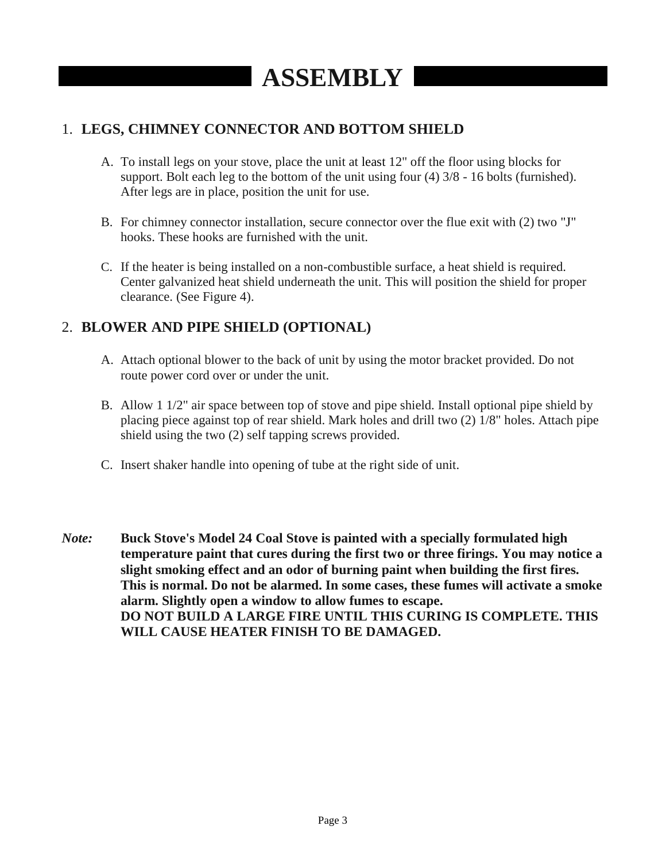#### 1. **LEGS, CHIMNEY CONNECTOR AND BOTTOM SHIELD**

- A. To install legs on your stove, place the unit at least 12" off the floor using blocks for support. Bolt each leg to the bottom of the unit using four (4) 3/8 - 16 bolts (furnished). After legs are in place, position the unit for use.
- B. For chimney connector installation, secure connector over the flue exit with (2) two "J" hooks. These hooks are furnished with the unit.
- C. If the heater is being installed on a non-combustible surface, a heat shield is required. Center galvanized heat shield underneath the unit. This will position the shield for proper clearance. (See Figure 4).

#### 2. **BLOWER AND PIPE SHIELD (OPTIONAL)**

- A. Attach optional blower to the back of unit by using the motor bracket provided. Do not route power cord over or under the unit.
- B. Allow 1 1/2" air space between top of stove and pipe shield. Install optional pipe shield by placing piece against top of rear shield. Mark holes and drill two (2) 1/8" holes. Attach pipe shield using the two (2) self tapping screws provided.
- C. Insert shaker handle into opening of tube at the right side of unit.
- *Note:* **Buck Stove's Model 24 Coal Stove is painted with a specially formulated high temperature paint that cures during the first two or three firings. You may notice a slight smoking effect and an odor of burning paint when building the first fires. This is normal. Do not be alarmed. In some cases, these fumes will activate a smoke alarm. Slightly open a window to allow fumes to escape. DO NOT BUILD A LARGE FIRE UNTIL THIS CURING IS COMPLETE. THIS WILL CAUSE HEATER FINISH TO BE DAMAGED.**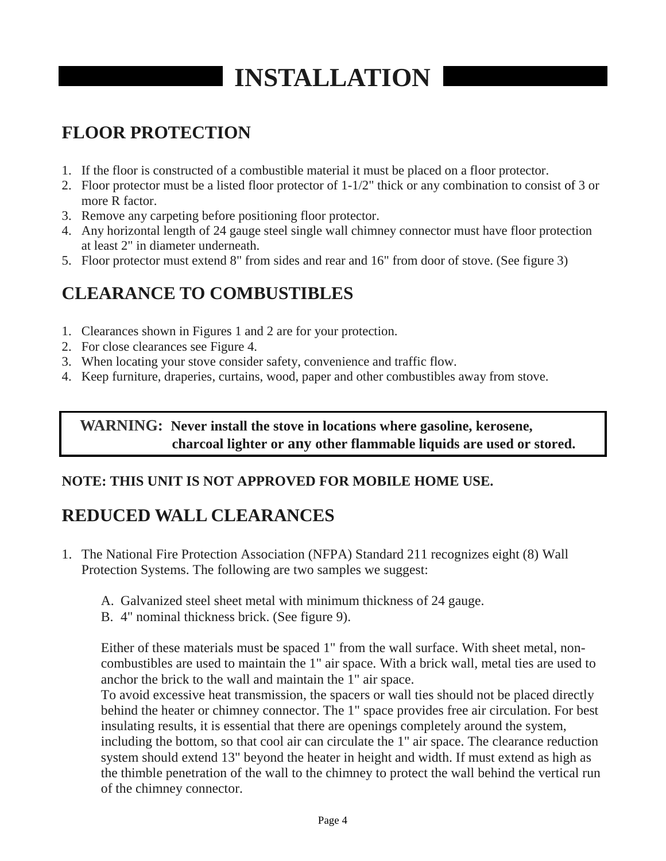# **INSTALLATION**

### **FLOOR PROTECTION**

- 1. If the floor is constructed of a combustible material it must be placed on a floor protector.
- 2. Floor protector must be a listed floor protector of 1-1/2" thick or any combination to consist of 3 or more R factor.
- 3. Remove any carpeting before positioning floor protector.
- 4. Any horizontal length of 24 gauge steel single wall chimney connector must have floor protection at least 2" in diameter underneath.
- 5. Floor protector must extend 8" from sides and rear and 16" from door of stove. (See figure 3)

### **CLEARANCE TO COMBUSTIBLES**

- 1. Clearances shown in Figures 1 and 2 are for your protection.
- 2. For close clearances see Figure 4.
- 3. When locating your stove consider safety, convenience and traffic flow.
- 4. Keep furniture, draperies, curtains, wood, paper and other combustibles away from stove.

#### **WARNING: Never install the stove in locations where gasoline, kerosene, charcoal lighter or any other flammable liquids are used or stored.**

#### **NOTE: THIS UNIT IS NOT APPROVED FOR MOBILE HOME USE.**

### **REDUCED WALL CLEARANCES**

- 1. The National Fire Protection Association (NFPA) Standard 211 recognizes eight (8) Wall Protection Systems. The following are two samples we suggest:
	- A. Galvanized steel sheet metal with minimum thickness of 24 gauge.
	- B. 4" nominal thickness brick. (See figure 9).

Either of these materials must be spaced 1" from the wall surface. With sheet metal, noncombustibles are used to maintain the 1" air space. With a brick wall, metal ties are used to anchor the brick to the wall and maintain the 1" air space.

To avoid excessive heat transmission, the spacers or wall ties should not be placed directly behind the heater or chimney connector. The 1" space provides free air circulation. For best insulating results, it is essential that there are openings completely around the system, including the bottom, so that cool air can circulate the 1" air space. The clearance reduction system should extend 13" beyond the heater in height and width. If must extend as high as the thimble penetration of the wall to the chimney to protect the wall behind the vertical run of the chimney connector.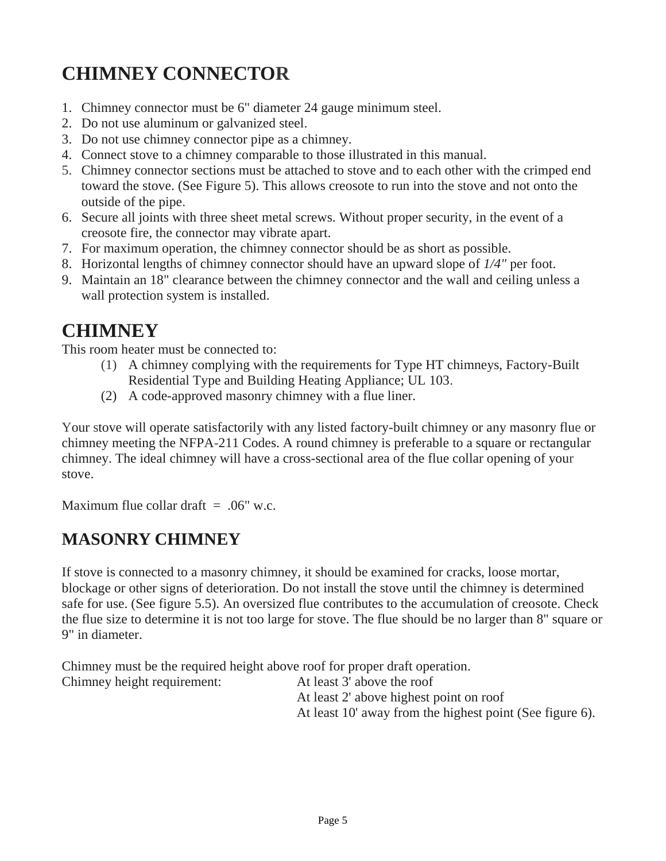### **CHIMNEY CONNECTOR**

- 1. Chimney connector must be 6" diameter 24 gauge minimum steel.
- 2. Do not use aluminum or galvanized steel.
- 3. Do not use chimney connector pipe as a chimney.
- 4. Connect stove to a chimney comparable to those illustrated in this manual.
- 5. Chimney connector sections must be attached to stove and to each other with the crimped end toward the stove. (See Figure 5). This allows creosote to run into the stove and not onto the outside of the pipe.
- 6. Secure all joints with three sheet metal screws. Without proper security, in the event of a creosote fire, the connector may vibrate apart.
- 7. For maximum operation, the chimney connector should be as short as possible.
- 8. Horizontal lengths of chimney connector should have an upward slope of *1/4"* per foot.
- 9. Maintain an 18" clearance between the chimney connector and the wall and ceiling unless a wall protection system is installed.

### **CHIMNEY**

This room heater must be connected to:

- (1) A chimney complying with the requirements for Type HT chimneys, Factory-Built Residential Type and Building Heating Appliance; UL 103.
- (2) A code-approved masonry chimney with a flue liner.

Your stove will operate satisfactorily with any listed factory-built chimney or any masonry flue or chimney meeting the NFPA-211 Codes. A round chimney is preferable to a square or rectangular chimney. The ideal chimney will have a cross-sectional area of the flue collar opening of your stove.

Maximum flue collar draft  $=$  .06" w.c.

### **MASONRY CHIMNEY**

If stove is connected to a masonry chimney, it should be examined for cracks, loose mortar, blockage or other signs of deterioration. Do not install the stove until the chimney is determined safe for use. (See figure 5.5). An oversized flue contributes to the accumulation of creosote. Check the flue size to determine it is not too large for stove. The flue should be no larger than 8" square or 9" in diameter.

Chimney must be the required height above roof for proper draft operation.

Chimney height requirement: At least 3' above the roof At least 2' above highest point on roof At least 10' away from the highest point (See figure 6).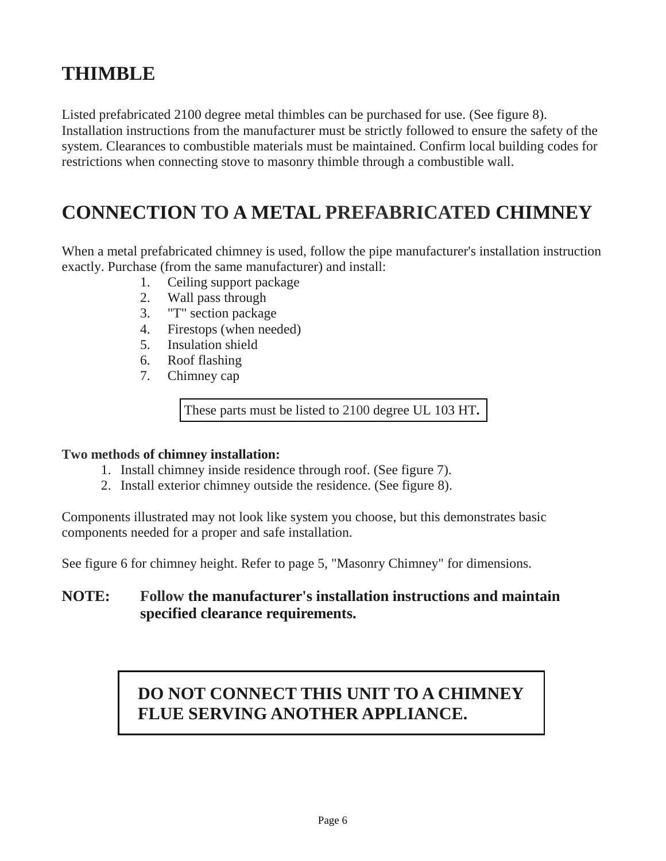### **THIMBLE**

Listed prefabricated 2100 degree metal thimbles can be purchased for use. (See figure 8). Installation instructions from the manufacturer must be strictly followed to ensure the safety of the system. Clearances to combustible materials must be maintained. Confirm local building codes for restrictions when connecting stove to masonry thimble through a combustible wall.

### **CONNECTION TO A METAL PREFABRICATED CHIMNEY**

When a metal prefabricated chimney is used, follow the pipe manufacturer's installation instruction exactly. Purchase (from the same manufacturer) and install:

- 1. Ceiling support package
- 2. Wall pass through
- 3. "T" section package
- 4. Firestops (when needed)
- 5. Insulation shield
- 6. Roof flashing
- 7. Chimney cap

These parts must be listed to 2100 degree UL 103 HT**.**

#### **Two methods of chimney installation:**

- 1. Install chimney inside residence through roof. (See figure 7).
- 2. Install exterior chimney outside the residence. (See figure 8).

Components illustrated may not look like system you choose, but this demonstrates basic components needed for a proper and safe installation.

See figure 6 for chimney height. Refer to page 5, "Masonry Chimney" for dimensions.

#### **NOTE: Follow the manufacturer's installation instructions and maintain specified clearance requirements.**

### **DO NOT CONNECT THIS UNIT TO A CHIMNEY FLUE SERVING ANOTHER APPLIANCE.**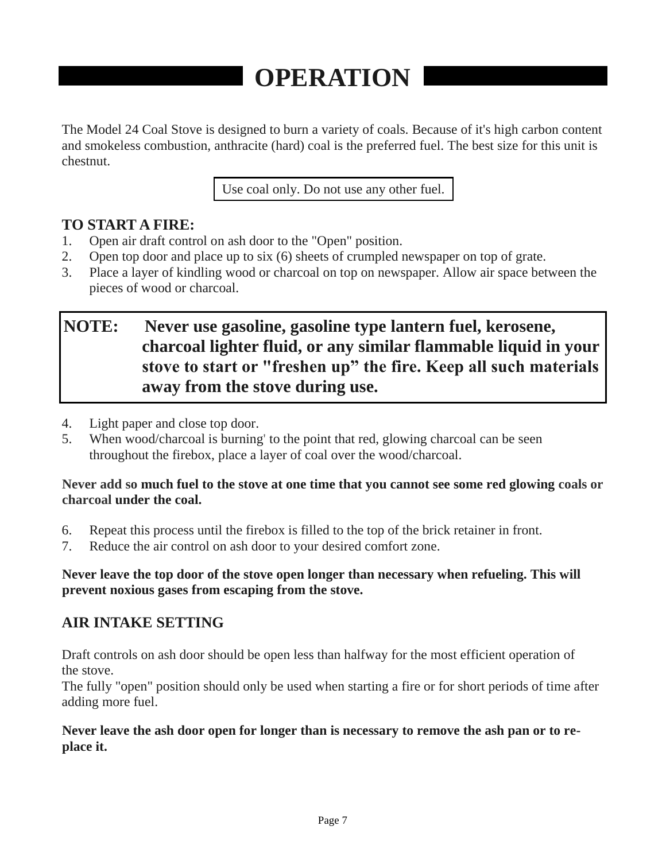# **OPERATION**

The Model 24 Coal Stove is designed to burn a variety of coals. Because of it's high carbon content and smokeless combustion, anthracite (hard) coal is the preferred fuel. The best size for this unit is chestnut.

Use coal only. Do not use any other fuel.

#### **TO START A FIRE:**

- 1. Open air draft control on ash door to the "Open" position.
- 2. Open top door and place up to six (6) sheets of crumpled newspaper on top of grate.
- 3. Place a layer of kindling wood or charcoal on top on newspaper. Allow air space between the pieces of wood or charcoal.

### **NOTE: Never use gasoline, gasoline type lantern fuel, kerosene, charcoal lighter fluid, or any similar flammable liquid in your stove to start or "freshen up" the fire. Keep all such materials away from the stove during use.**

- 4. Light paper and close top door.
- 5. When wood/charcoal is burning' to the point that red, glowing charcoal can be seen throughout the firebox, place a layer of coal over the wood/charcoal.

#### **Never add so much fuel to the stove at one time that you cannot see some red glowing coals or charcoal under the coal.**

- 6. Repeat this process until the firebox is filled to the top of the brick retainer in front.
- 7. Reduce the air control on ash door to your desired comfort zone.

#### **Never leave the top door of the stove open longer than necessary when refueling. This will prevent noxious gases from escaping from the stove.**

#### **AIR INTAKE SETTING**

Draft controls on ash door should be open less than halfway for the most efficient operation of the stove.

The fully "open" position should only be used when starting a fire or for short periods of time after adding more fuel.

#### **Never leave the ash door open for longer than is necessary to remove the ash pan or to replace it.**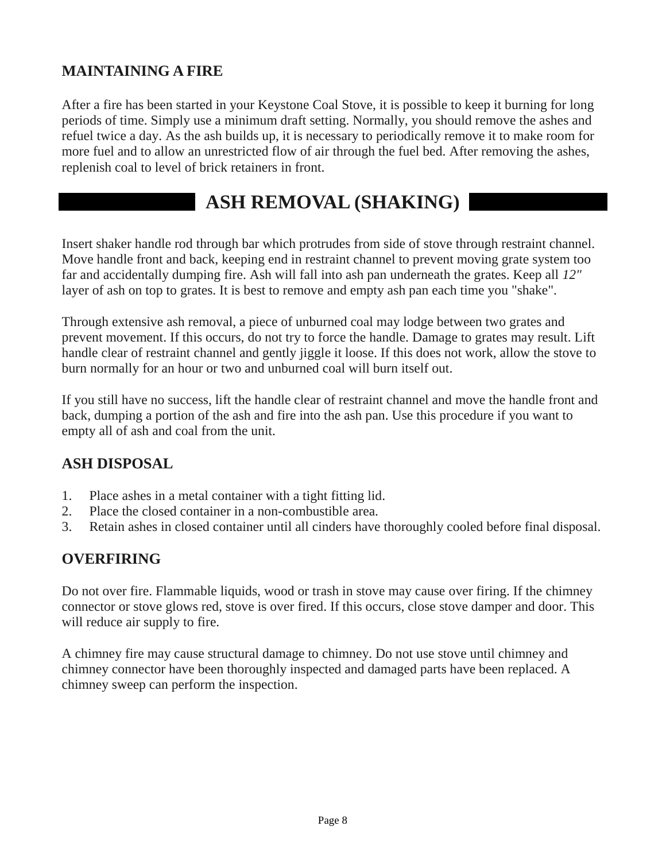#### **MAINTAINING A FIRE**

After a fire has been started in your Keystone Coal Stove, it is possible to keep it burning for long periods of time. Simply use a minimum draft setting. Normally, you should remove the ashes and refuel twice a day. As the ash builds up, it is necessary to periodically remove it to make room for more fuel and to allow an unrestricted flow of air through the fuel bed. After removing the ashes, replenish coal to level of brick retainers in front.

### **ASH REMOVAL (SHAKING)**

Insert shaker handle rod through bar which protrudes from side of stove through restraint channel. Move handle front and back, keeping end in restraint channel to prevent moving grate system too far and accidentally dumping fire. Ash will fall into ash pan underneath the grates. Keep all *12"*  layer of ash on top to grates. It is best to remove and empty ash pan each time you "shake".

Through extensive ash removal, a piece of unburned coal may lodge between two grates and prevent movement. If this occurs, do not try to force the handle. Damage to grates may result. Lift handle clear of restraint channel and gently jiggle it loose. If this does not work, allow the stove to burn normally for an hour or two and unburned coal will burn itself out.

If you still have no success, lift the handle clear of restraint channel and move the handle front and back, dumping a portion of the ash and fire into the ash pan. Use this procedure if you want to empty all of ash and coal from the unit.

#### **ASH DISPOSAL**

- 1. Place ashes in a metal container with a tight fitting lid.
- 2. Place the closed container in a non-combustible area.
- 3. Retain ashes in closed container until all cinders have thoroughly cooled before final disposal.

#### **OVERFIRING**

Do not over fire. Flammable liquids, wood or trash in stove may cause over firing. If the chimney connector or stove glows red, stove is over fired. If this occurs, close stove damper and door. This will reduce air supply to fire.

A chimney fire may cause structural damage to chimney. Do not use stove until chimney and chimney connector have been thoroughly inspected and damaged parts have been replaced. A chimney sweep can perform the inspection.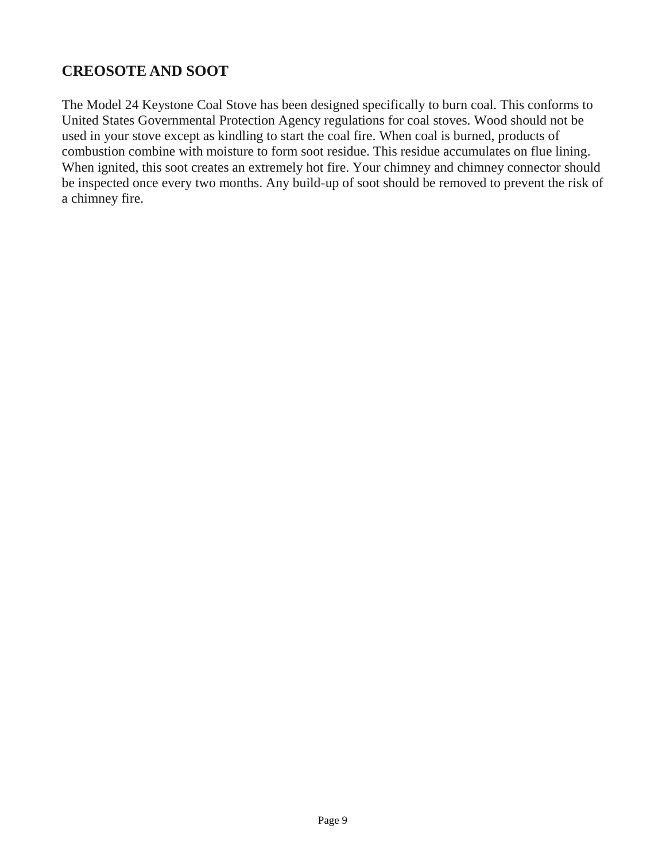#### **CREOSOTE AND SOOT**

The Model 24 Keystone Coal Stove has been designed specifically to burn coal. This conforms to United States Governmental Protection Agency regulations for coal stoves. Wood should not be used in your stove except as kindling to start the coal fire. When coal is burned, products of combustion combine with moisture to form soot residue. This residue accumulates on flue lining. When ignited, this soot creates an extremely hot fire. Your chimney and chimney connector should be inspected once every two months. Any build-up of soot should be removed to prevent the risk of a chimney fire.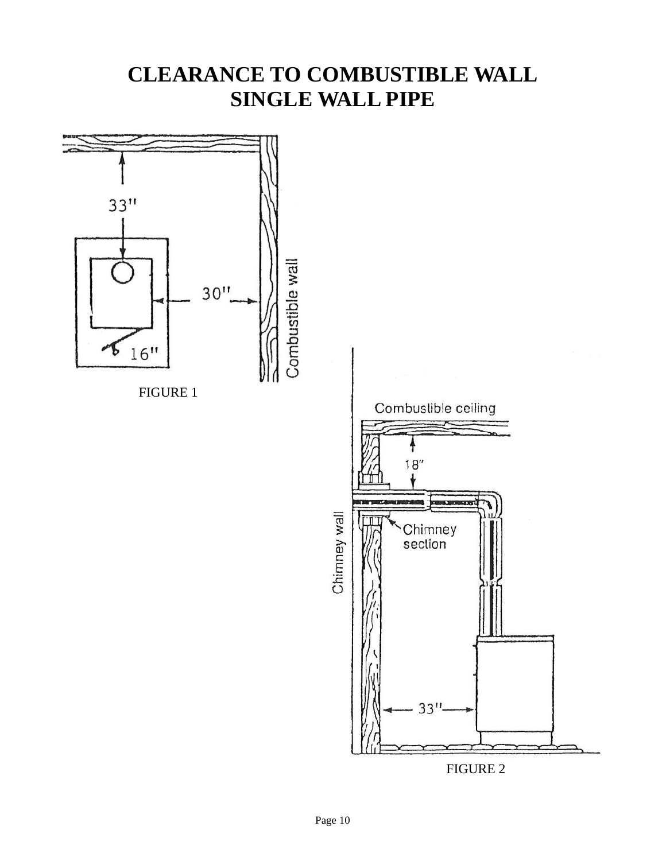### **CLEARANCE TO COMBUSTIBLE WALL SINGLE WALL PIPE**

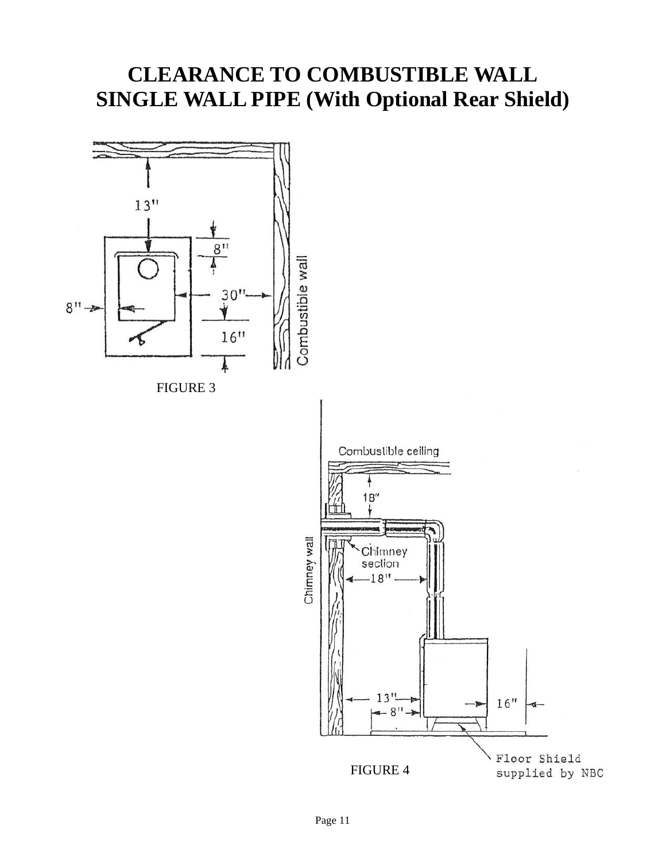### **CLEARANCE TO COMBUSTIBLE WALL SINGLE WALL PIPE (With Optional Rear Shield)**

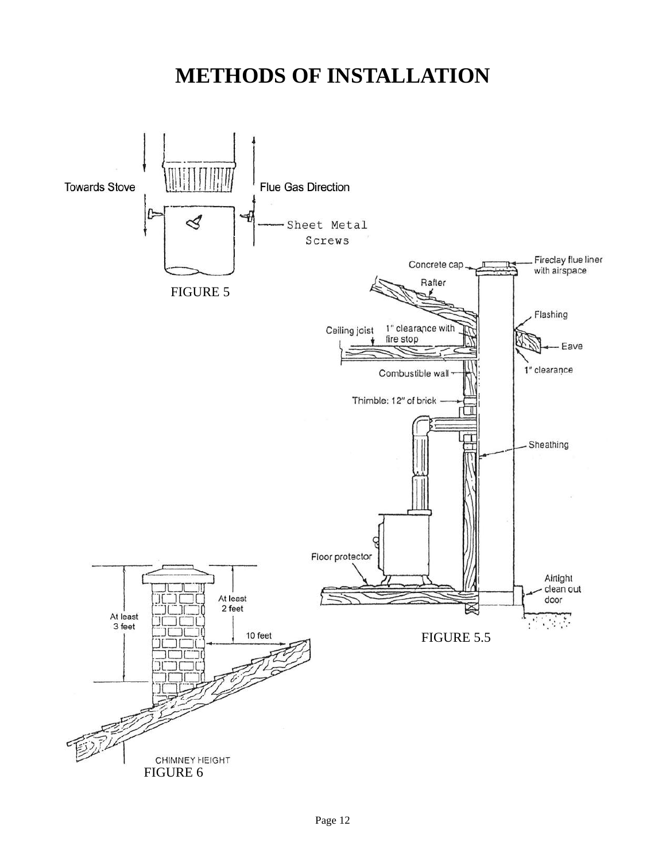### **METHODS OF INSTALLATION**

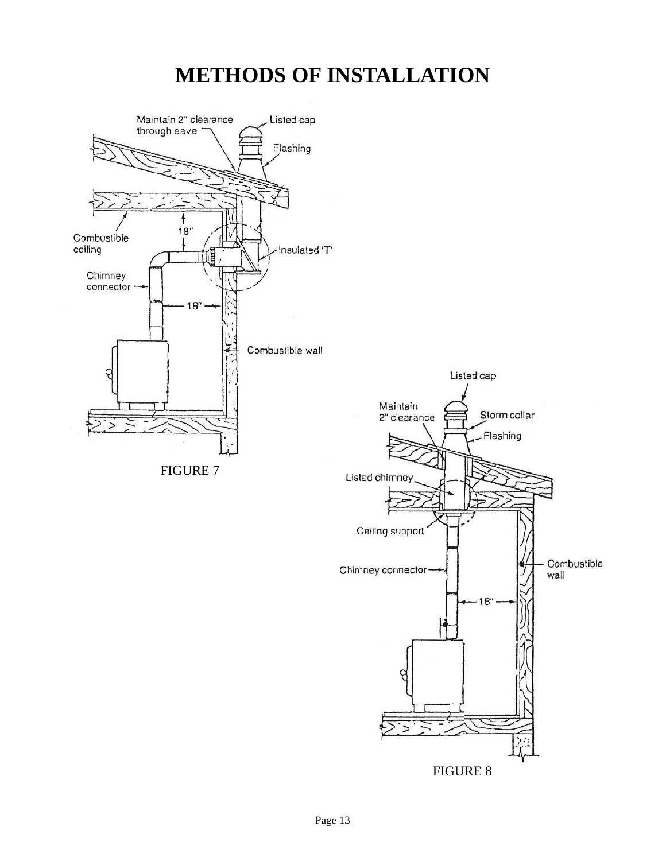### **METHODS OF INSTALLATION**

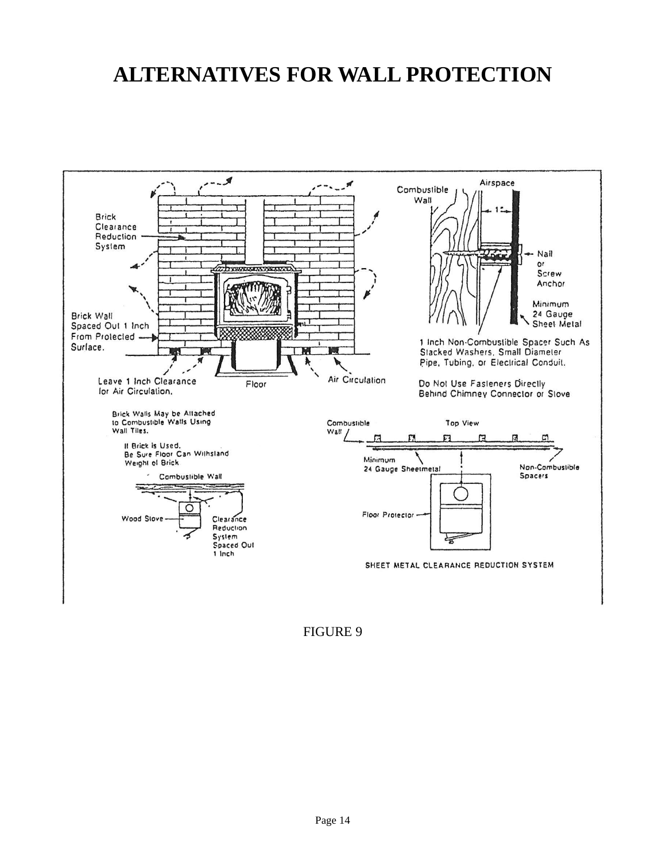### **ALTERNATIVES FOR WALL PROTECTION**



FIGURE 9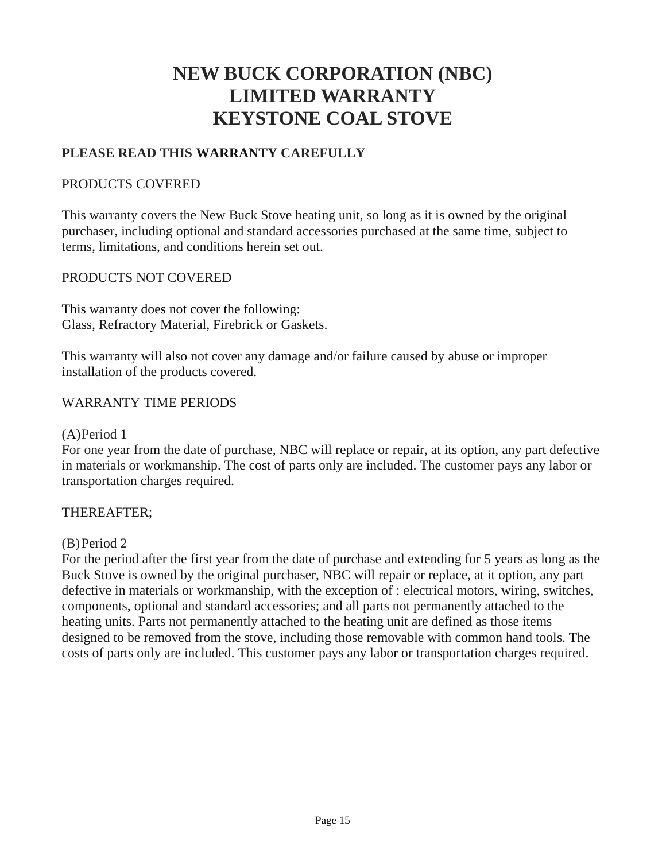### **NEW BUCK CORPORATION (NBC) LIMITED WARRANTY KEYSTONE COAL STOVE**

#### **PLEASE READ THIS WARRANTY CAREFULLY**

#### PRODUCTS COVERED

This warranty covers the New Buck Stove heating unit, so long as it is owned by the original purchaser, including optional and standard accessories purchased at the same time, subject to terms, limitations, and conditions herein set out.

#### PRODUCTS NOT COVERED

This warranty does not cover the following: Glass, Refractory Material, Firebrick or Gaskets.

This warranty will also not cover any damage and/or failure caused by abuse or improper installation of the products covered.

#### WARRANTY TIME PERIODS

#### (A)Period 1

For one year from the date of purchase, NBC will replace or repair, at its option, any part defective in materials or workmanship. The cost of parts only are included. The customer pays any labor or transportation charges required.

#### THEREAFTER;

#### (B)Period 2

For the period after the first year from the date of purchase and extending for 5 years as long as the Buck Stove is owned by the original purchaser, NBC will repair or replace, at it option, any part defective in materials or workmanship, with the exception of : electrical motors, wiring, switches, components, optional and standard accessories; and all parts not permanently attached to the heating units. Parts not permanently attached to the heating unit are defined as those items designed to be removed from the stove, including those removable with common hand tools. The costs of parts only are included. This customer pays any labor or transportation charges required.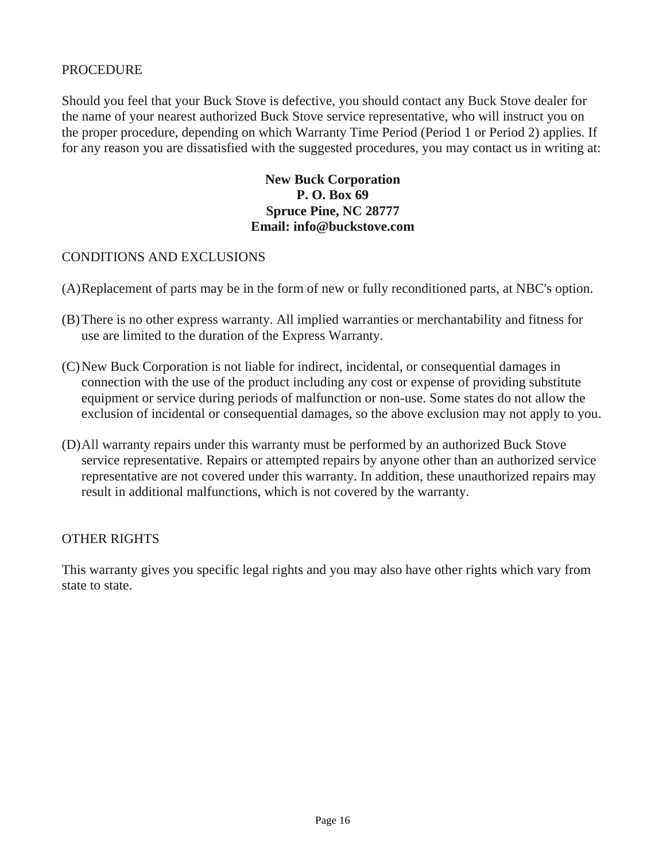#### PROCEDURE

Should you feel that your Buck Stove is defective, you should contact any Buck Stove dealer for the name of your nearest authorized Buck Stove service representative, who will instruct you on the proper procedure, depending on which Warranty Time Period (Period 1 or Period 2) applies. If for any reason you are dissatisfied with the suggested procedures, you may contact us in writing at:

#### **New Buck Corporation P. O. Box 69 Spruce Pine, NC 28777 Email: info@buckstove.com**

#### CONDITIONS AND EXCLUSIONS

- (A)Replacement of parts may be in the form of new or fully reconditioned parts, at NBC's option.
- (B)There is no other express warranty. All implied warranties or merchantability and fitness for use are limited to the duration of the Express Warranty.
- (C)New Buck Corporation is not liable for indirect, incidental, or consequential damages in connection with the use of the product including any cost or expense of providing substitute equipment or service during periods of malfunction or non-use. Some states do not allow the exclusion of incidental or consequential damages, so the above exclusion may not apply to you.
- (D)All warranty repairs under this warranty must be performed by an authorized Buck Stove service representative. Repairs or attempted repairs by anyone other than an authorized service representative are not covered under this warranty. In addition, these unauthorized repairs may result in additional malfunctions, which is not covered by the warranty.

#### OTHER RIGHTS

This warranty gives you specific legal rights and you may also have other rights which vary from state to state.